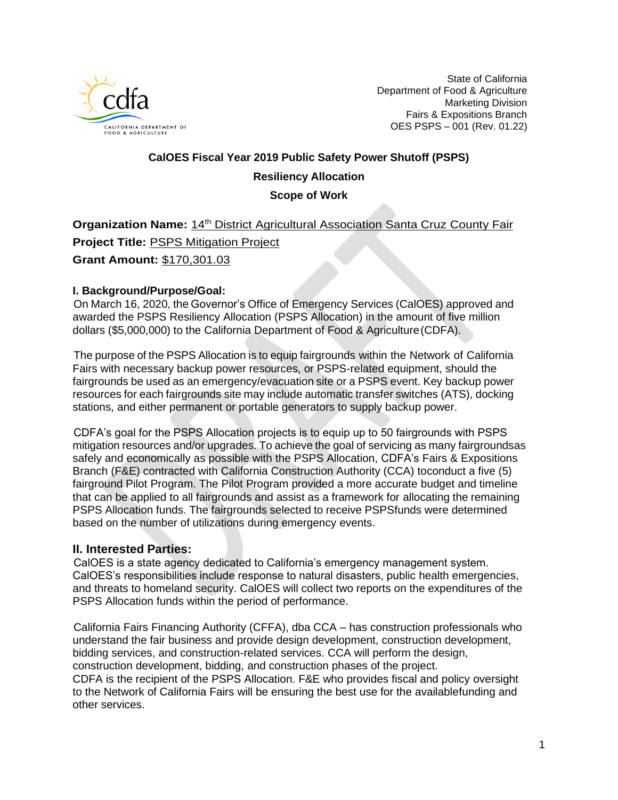

State of California Department of Food & Agriculture Marketing Division Fairs & Expositions Branch OES PSPS – 001 (Rev. 01.22)

# **CalOES Fiscal Year 2019 Public Safety Power Shutoff (PSPS) Resiliency Allocation Scope of Work**

**Organization Name: 14<sup>th</sup> District Agricultural Association Santa Cruz County Fair** 

**Project Title:** PSPS Mitigation Project

**Grant Amount:** \$170,301.03

#### **I. Background/Purpose/Goal:**

On March 16, 2020, the Governor's Office of Emergency Services (CalOES) approved and awarded the PSPS Resiliency Allocation (PSPS Allocation) in the amount of five million dollars (\$5,000,000) to the California Department of Food & Agriculture(CDFA).

The purpose of the PSPS Allocation is to equip fairgrounds within the Network of California Fairs with necessary backup power resources, or PSPS-related equipment, should the fairgrounds be used as an emergency/evacuation site or a PSPS event. Key backup power resources for each fairgrounds site may include automatic transfer switches (ATS), docking stations, and either permanent or portable generators to supply backup power.

CDFA's goal for the PSPS Allocation projects is to equip up to 50 fairgrounds with PSPS mitigation resources and/or upgrades. To achieve the goal of servicing as many fairgroundsas safely and economically as possible with the PSPS Allocation, CDFA's Fairs & Expositions Branch (F&E) contracted with California Construction Authority (CCA) toconduct a five (5) fairground Pilot Program. The Pilot Program provided a more accurate budget and timeline that can be applied to all fairgrounds and assist as a framework for allocating the remaining PSPS Allocation funds. The fairgrounds selected to receive PSPSfunds were determined based on the number of utilizations during emergency events.

## **II. Interested Parties:**

CalOES is a state agency dedicated to California's emergency management system. CalOES's responsibilities include response to natural disasters, public health emergencies, and threats to homeland security. CalOES will collect two reports on the expenditures of the PSPS Allocation funds within the period of performance.

California Fairs Financing Authority (CFFA), dba CCA – has construction professionals who understand the fair business and provide design development, construction development, bidding services, and construction-related services. CCA will perform the design, construction development, bidding, and construction phases of the project. CDFA is the recipient of the PSPS Allocation. F&E who provides fiscal and policy oversight to the Network of California Fairs will be ensuring the best use for the availablefunding and other services.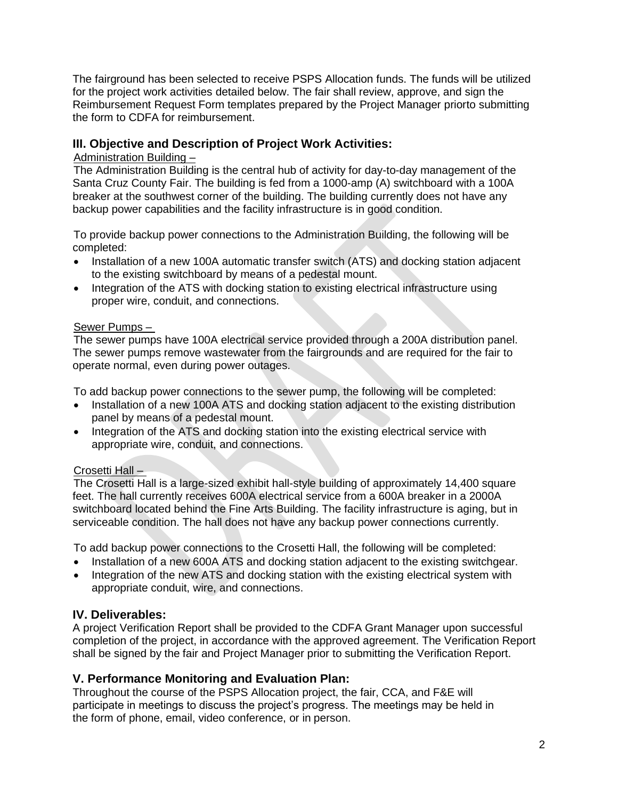The fairground has been selected to receive PSPS Allocation funds. The funds will be utilized for the project work activities detailed below. The fair shall review, approve, and sign the Reimbursement Request Form templates prepared by the Project Manager priorto submitting the form to CDFA for reimbursement.

# **III. Objective and Description of Project Work Activities:**

#### Administration Building –

The Administration Building is the central hub of activity for day-to-day management of the Santa Cruz County Fair. The building is fed from a 1000-amp (A) switchboard with a 100A breaker at the southwest corner of the building. The building currently does not have any backup power capabilities and the facility infrastructure is in good condition.

To provide backup power connections to the Administration Building, the following will be completed:

- Installation of a new 100A automatic transfer switch (ATS) and docking station adjacent to the existing switchboard by means of a pedestal mount.
- Integration of the ATS with docking station to existing electrical infrastructure using proper wire, conduit, and connections.

#### Sewer Pumps –

The sewer pumps have 100A electrical service provided through a 200A distribution panel. The sewer pumps remove wastewater from the fairgrounds and are required for the fair to operate normal, even during power outages.

To add backup power connections to the sewer pump, the following will be completed:

- Installation of a new 100A ATS and docking station adjacent to the existing distribution panel by means of a pedestal mount.
- Integration of the ATS and docking station into the existing electrical service with appropriate wire, conduit, and connections.

## Crosetti Hall –

The Crosetti Hall is a large-sized exhibit hall-style building of approximately 14,400 square feet. The hall currently receives 600A electrical service from a 600A breaker in a 2000A switchboard located behind the Fine Arts Building. The facility infrastructure is aging, but in serviceable condition. The hall does not have any backup power connections currently.

To add backup power connections to the Crosetti Hall, the following will be completed:

- Installation of a new 600A ATS and docking station adjacent to the existing switchgear.
- Integration of the new ATS and docking station with the existing electrical system with appropriate conduit, wire, and connections.

# **IV. Deliverables:**

A project Verification Report shall be provided to the CDFA Grant Manager upon successful completion of the project, in accordance with the approved agreement. The Verification Report shall be signed by the fair and Project Manager prior to submitting the Verification Report.

# **V. Performance Monitoring and Evaluation Plan:**

Throughout the course of the PSPS Allocation project, the fair, CCA, and F&E will participate in meetings to discuss the project's progress. The meetings may be held in the form of phone, email, video conference, or in person.